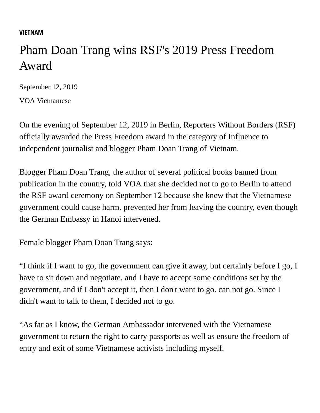## **[VIETNAM](https://www.voatiengviet.com/z/1813)**

## Pham Doan Trang wins RSF's 2019 Press Freedom Award

September 12, 2019

[VOA Vietnamese](https://www.voatiengviet.com/author/voa-ti%E1%BA%BFng-vi%E1%BB%87t/putmm)

On the evening of September 12, 2019 in Berlin, Reporters Without Borders (RSF) officially awarded the Press Freedom award in the category of Influence to independent journalist and blogger Pham Doan Trang of Vietnam.

Blogger Pham Doan Trang, the author of several political books banned from publication in the country, told VOA that she decided not to go to Berlin to attend the RSF award ceremony on September 12 because she knew that the Vietnamese government could cause harm. prevented her from leaving the country, even though the German Embassy in Hanoi intervened.

Female blogger Pham Doan Trang says:

"I think if I want to go, the government can give it away, but certainly before I go, I have to sit down and negotiate, and I have to accept some conditions set by the government, and if I don't accept it, then I don't want to go. can not go. Since I didn't want to talk to them, I decided not to go.

"As far as I know, the German Ambassador intervened with the Vietnamese government to return the right to carry passports as well as ensure the freedom of entry and exit of some Vietnamese activists including myself.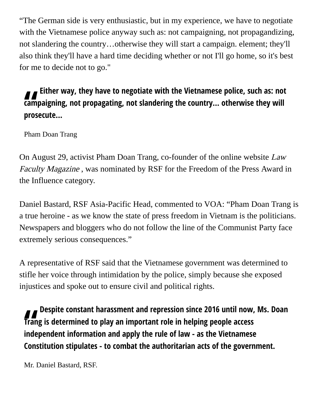"The German side is very enthusiastic, but in my experience, we have to negotiate with the Vietnamese police anyway such as: not campaigning, not propagandizing, not slandering the country…otherwise they will start a campaign. element; they'll also think they'll have a hard time deciding whether or not I'll go home, so it's best for me to decide not to go."

## **Either way, they have to negotiate with the Vietnamese police, such as: not** campaigning, not propagating, not slandering the country... otherwise they will prosecute... **campaigning, not propagating, not slandering the country... otherwise they will prosecute...**

Pham Doan Trang

On August 29, activist Pham Doan Trang, co-founder of the online website Law Faculty Magazine , was nominated by RSF for the Freedom of the Press Award in the Influence category.

Daniel Bastard, RSF Asia-Pacific Head, commented to VOA: "Pham Doan Trang is a true heroine - as we know the state of press freedom in Vietnam is the politicians. Newspapers and bloggers who do not follow the line of the Communist Party face extremely serious consequences."

A representative of RSF said that the Vietnamese government was determined to stifle her voice through intimidation by the police, simply because she exposed injustices and spoke out to ensure civil and political rights.

*II*<br>Trang<br>indep **Despite constant harassment and repression since 2016 until now, Ms. Doan Trang is determined to play an important role in helping people access independent information and apply the rule of law - as the Vietnamese Constitution stipulates - to combat the authoritarian acts of the government.**

Mr. Daniel Bastard, RSF.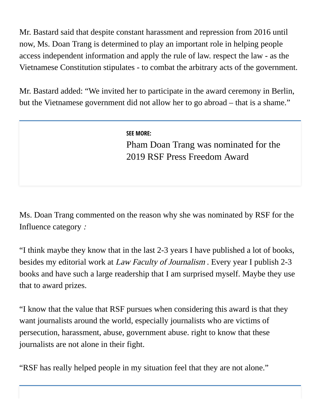Mr. Bastard said that despite constant harassment and repression from 2016 until now, Ms. Doan Trang is determined to play an important role in helping people access independent information and apply the rule of law. respect the law - as the Vietnamese Constitution stipulates - to combat the arbitrary acts of the government.

Mr. Bastard added: "We invited her to participate in the award ceremony in Berlin, but the Vietnamese government did not allow her to go abroad – that is a shame."

**SEE MORE:**

[Pham Doan Trang was nominated for the](https://www.voatiengviet.com/a/ph%E1%BA%A1m-%C4%91oan-trang-%C4%91%C6%B0%E1%BB%A3c-%C4%91%E1%BB%81-c%E1%BB%AD-gi%E1%BA%A3i-t%E1%BB%B1-do-b%C3%A1o-ch%C3%AD-2019-c%E1%BB%A7a-rsf-/5062367.html) 2019 RSF Press Freedom Award

Ms. Doan Trang commented on the reason why she was nominated by RSF for the Influence category :

"I think maybe they know that in the last 2-3 years I have published a lot of books, besides my editorial work at *Law Faculty of Journalism*. Every year I publish 2-3 books and have such a large readership that I am surprised myself. Maybe they use that to award prizes.

"I know that the value that RSF pursues when considering this award is that they want journalists around the world, especially journalists who are victims of persecution, harassment, abuse, government abuse. right to know that these journalists are not alone in their fight.

"RSF has really helped people in my situation feel that they are not alone."